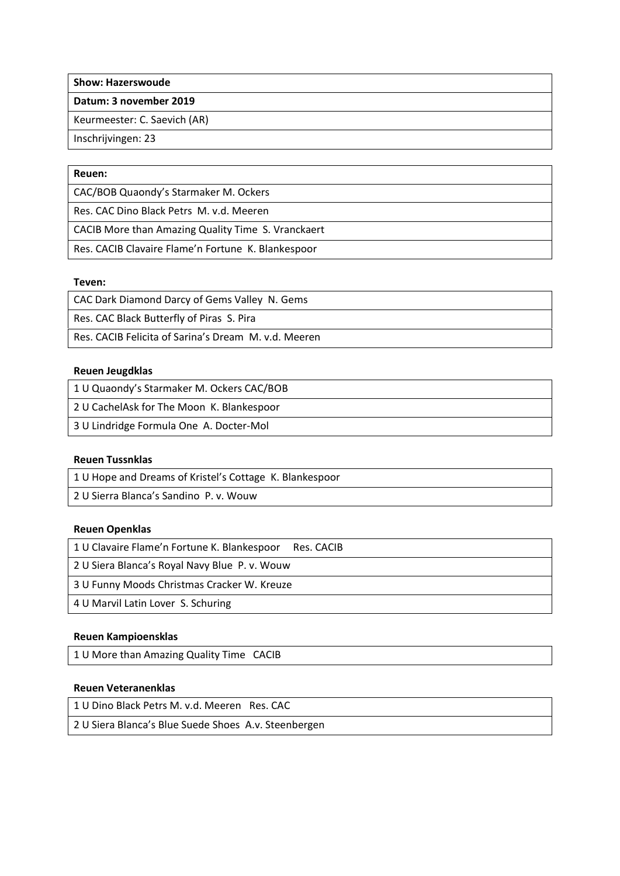**Show: Hazerswoude**

**Datum: 3 november 2019**

Keurmeester: C. Saevich (AR)

Inschrijvingen: 23

## **Reuen:**

CAC/BOB Quaondy's Starmaker M. Ockers

Res. CAC Dino Black Petrs M. v.d. Meeren

CACIB More than Amazing Quality Time S. Vranckaert

Res. CACIB Clavaire Flame'n Fortune K. Blankespoor

### **Teven:**

| CAC Dark Diamond Darcy of Gems Valley N. Gems        |
|------------------------------------------------------|
| Res. CAC Black Butterfly of Piras S. Pira            |
| Res. CACIB Felicita of Sarina's Dream M. v.d. Meeren |

## **Reuen Jeugdklas**

| 1 U Quaondy's Starmaker M. Ockers CAC/BOB |
|-------------------------------------------|
| 2 U CachelAsk for The Moon K. Blankespoor |
| 3 U Lindridge Formula One A. Docter-Mol   |

## **Reuen Tussnklas**

1 U Hope and Dreams of Kristel's Cottage K. Blankespoor

2 U Sierra Blanca's Sandino P. v. Wouw

### **Reuen Openklas**

| 1 U Clavaire Flame'n Fortune K. Blankespoor<br>Res. CACIB |
|-----------------------------------------------------------|
| 2 U Siera Blanca's Royal Navy Blue P. v. Wouw             |
| 3 U Funny Moods Christmas Cracker W. Kreuze               |
| 4 U Marvil Latin Lover S. Schuring                        |

### **Reuen Kampioensklas**

1 U More than Amazing Quality Time CACIB

# **Reuen Veteranenklas**

1 U Dino Black Petrs M. v.d. Meeren Res. CAC 2 U Siera Blanca's Blue Suede Shoes A.v. Steenbergen